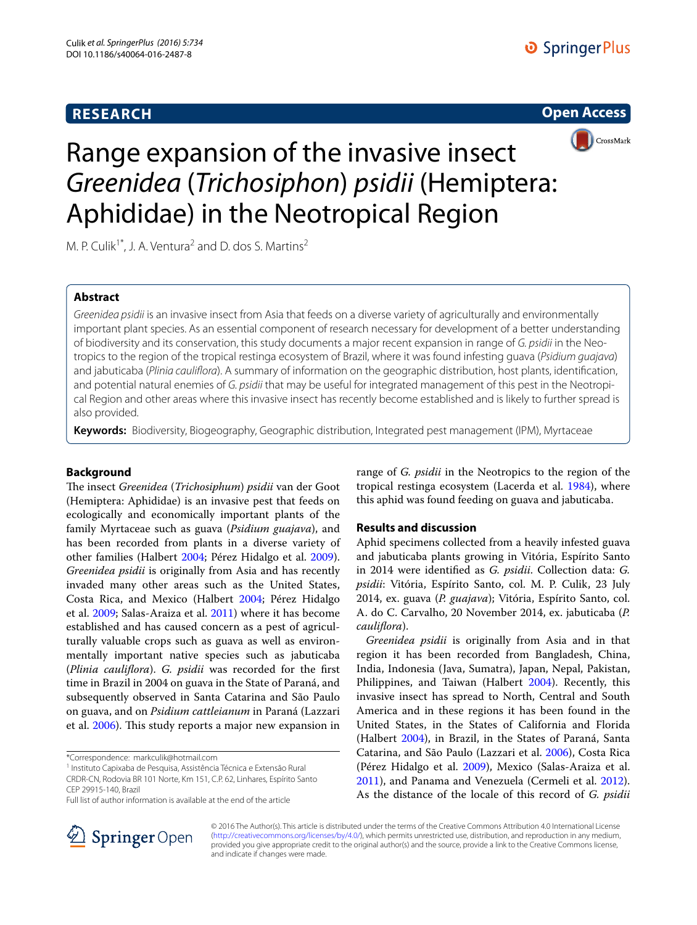# **RESEARCH**





# Range expansion of the invasive insect *Greenidea* (*Trichosiphon*) *psidii* (Hemiptera: Aphididae) in the Neotropical Region

M. P. Culik<sup>1\*</sup>, J. A. Ventura<sup>2</sup> and D. dos S. Martins<sup>2</sup>

# **Abstract**

*Greenidea psidii* is an invasive insect from Asia that feeds on a diverse variety of agriculturally and environmentally important plant species. As an essential component of research necessary for development of a better understanding of biodiversity and its conservation, this study documents a major recent expansion in range of *G. psidii* in the Neotropics to the region of the tropical restinga ecosystem of Brazil, where it was found infesting guava (*Psidium guajava*) and jabuticaba (*Plinia cauliflora*). A summary of information on the geographic distribution, host plants, identification, and potential natural enemies of *G. psidii* that may be useful for integrated management of this pest in the Neotropical Region and other areas where this invasive insect has recently become established and is likely to further spread is also provided.

**Keywords:** Biodiversity, Biogeography, Geographic distribution, Integrated pest management (IPM), Myrtaceae

# **Background**

The insect *Greenidea* (*Trichosiphum*) *psidii* van der Goot (Hemiptera: Aphididae) is an invasive pest that feeds on ecologically and economically important plants of the family Myrtaceae such as guava (*Psidium guajava*), and has been recorded from plants in a diverse variety of other families (Halbert [2004;](#page-2-0) Pérez Hidalgo et al. [2009](#page-2-1)). *Greenidea psidii* is originally from Asia and has recently invaded many other areas such as the United States, Costa Rica, and Mexico (Halbert [2004](#page-2-0); Pérez Hidalgo et al. [2009;](#page-2-1) Salas-Araiza et al. [2011\)](#page-2-2) where it has become established and has caused concern as a pest of agriculturally valuable crops such as guava as well as environmentally important native species such as jabuticaba (*Plinia cauliflora*). *G. psidii* was recorded for the first time in Brazil in 2004 on guava in the State of Paraná, and subsequently observed in Santa Catarina and São Paulo on guava, and on *Psidium cattleianum* in Paraná (Lazzari et al. [2006\)](#page-2-3). This study reports a major new expansion in

\*Correspondence: markculik@hotmail.com

<sup>1</sup> Instituto Capixaba de Pesquisa, Assistência Técnica e Extensão Rural

CRDR-CN, Rodovia BR 101 Norte, Km 151, C.P. 62, Linhares, Espírito Santo CEP 29915-140, Brazil



# **Results and discussion**

Aphid specimens collected from a heavily infested guava and jabuticaba plants growing in Vitória, Espírito Santo in 2014 were identified as *G. psidii*. Collection data: *G. psidii*: Vitória, Espírito Santo, col. M. P. Culik, 23 July 2014, ex. guava (*P. guajava*); Vitória, Espírito Santo, col. A. do C. Carvalho, 20 November 2014, ex. jabuticaba (*P. cauliflora*).

*Greenidea psidii* is originally from Asia and in that region it has been recorded from Bangladesh, China, India, Indonesia (Java, Sumatra), Japan, Nepal, Pakistan, Philippines, and Taiwan (Halbert [2004\)](#page-2-0). Recently, this invasive insect has spread to North, Central and South America and in these regions it has been found in the United States, in the States of California and Florida (Halbert [2004\)](#page-2-0), in Brazil, in the States of Paraná, Santa Catarina, and São Paulo (Lazzari et al. [2006\)](#page-2-3), Costa Rica (Pérez Hidalgo et al. [2009](#page-2-1)), Mexico (Salas-Araiza et al. [2011](#page-2-2)), and Panama and Venezuela (Cermeli et al. [2012](#page-2-5)). As the distance of the locale of this record of *G. psidii*



© 2016 The Author(s). This article is distributed under the terms of the Creative Commons Attribution 4.0 International License [\(http://creativecommons.org/licenses/by/4.0/\)](http://creativecommons.org/licenses/by/4.0/), which permits unrestricted use, distribution, and reproduction in any medium, provided you give appropriate credit to the original author(s) and the source, provide a link to the Creative Commons license, and indicate if changes were made.

Full list of author information is available at the end of the article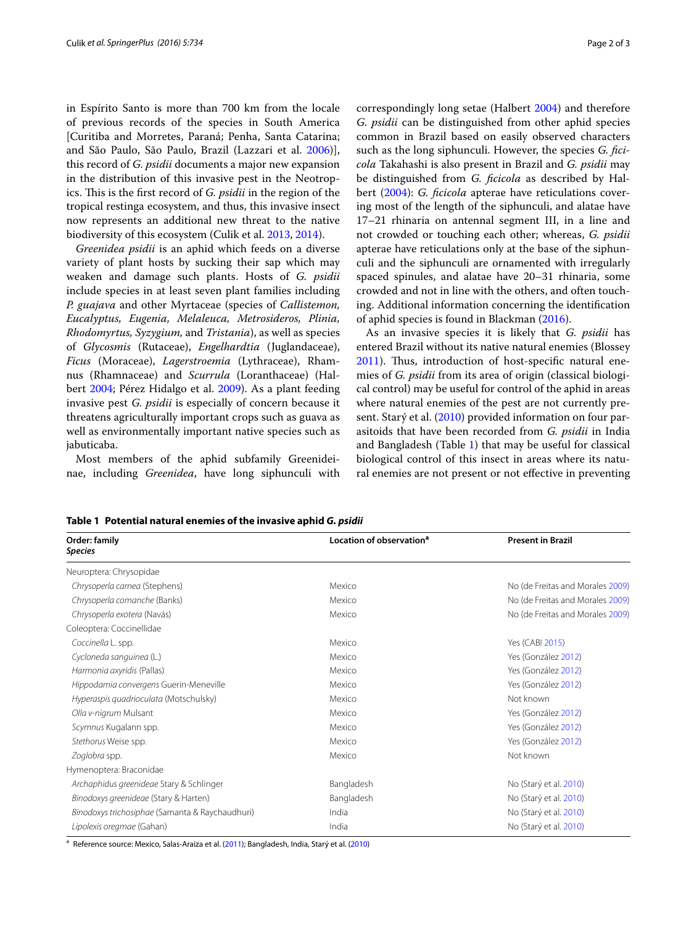in Espírito Santo is more than 700 km from the locale of previous records of the species in South America [Curitiba and Morretes, Paraná; Penha, Santa Catarina; and São Paulo, São Paulo, Brazil (Lazzari et al. [2006\)](#page-2-3)], this record of *G. psidii* documents a major new expansion in the distribution of this invasive pest in the Neotropics. This is the first record of *G. psidii* in the region of the tropical restinga ecosystem, and thus, this invasive insect now represents an additional new threat to the native biodiversity of this ecosystem (Culik et al. [2013](#page-2-6), [2014](#page-2-7)).

*Greenidea psidii* is an aphid which feeds on a diverse variety of plant hosts by sucking their sap which may weaken and damage such plants. Hosts of *G. psidii* include species in at least seven plant families including *P. guajava* and other Myrtaceae (species of *Callistemon, Eucalyptus, Eugenia, Melaleuca, Metrosideros, Plinia, Rhodomyrtus, Syzygium,* and *Tristania*), as well as species of *Glycosmis* (Rutaceae), *Engelhardtia* (Juglandaceae), *Ficus* (Moraceae), *Lagerstroemia* (Lythraceae), Rhamnus (Rhamnaceae) and *Scurrula* (Loranthaceae) (Halbert [2004](#page-2-0); Pérez Hidalgo et al. [2009\)](#page-2-1). As a plant feeding invasive pest *G. psidii* is especially of concern because it threatens agriculturally important crops such as guava as well as environmentally important native species such as jabuticaba.

Most members of the aphid subfamily Greenideinae, including *Greenidea*, have long siphunculi with correspondingly long setae (Halbert [2004\)](#page-2-0) and therefore *G. psidii* can be distinguished from other aphid species common in Brazil based on easily observed characters such as the long siphunculi. However, the species *G. ficicola* Takahashi is also present in Brazil and *G. psidii* may be distinguished from *G. ficicola* as described by Halbert [\(2004](#page-2-0)): *G. ficicola* apterae have reticulations covering most of the length of the siphunculi, and alatae have 17–21 rhinaria on antennal segment III, in a line and not crowded or touching each other; whereas, *G. psidii* apterae have reticulations only at the base of the siphunculi and the siphunculi are ornamented with irregularly spaced spinules, and alatae have 20–31 rhinaria, some crowded and not in line with the others, and often touching. Additional information concerning the identification of aphid species is found in Blackman [\(2016](#page-2-8)).

As an invasive species it is likely that *G. psidii* has entered Brazil without its native natural enemies (Blossey [2011](#page-2-9)). Thus, introduction of host-specific natural enemies of *G. psidii* from its area of origin (classical biological control) may be useful for control of the aphid in areas where natural enemies of the pest are not currently pre-sent. Starý et al. [\(2010](#page-2-10)) provided information on four parasitoids that have been recorded from *G. psidii* in India and Bangladesh (Table [1\)](#page-1-0) that may be useful for classical biological control of this insect in areas where its natural enemies are not present or not effective in preventing

| Order: family<br><b>Species</b>                 | Location of observation <sup>a</sup> | <b>Present in Brazil</b>         |
|-------------------------------------------------|--------------------------------------|----------------------------------|
| Neuroptera: Chrysopidae                         |                                      |                                  |
| Chrysoperla carnea (Stephens)                   | Mexico                               | No (de Freitas and Morales 2009) |
| Chrysoperla comanche (Banks)                    | Mexico                               | No (de Freitas and Morales 2009) |
| Chrysoperla exotera (Navás)                     | Mexico                               | No (de Freitas and Morales 2009) |
| Coleoptera: Coccinellidae                       |                                      |                                  |
| Coccinella L. spp.                              | Mexico                               | Yes (CABI 2015)                  |
| Cycloneda sanguinea (L.)                        | Mexico                               | Yes (González 2012)              |
| Harmonia axyridis (Pallas)                      | Mexico                               | Yes (González 2012)              |
| Hippodamia convergens Guerin-Meneville          | Mexico                               | Yes (González 2012)              |
| Hyperaspis quadrioculata (Motschulsky)          | Mexico                               | Not known                        |
| Olla v-nigrum Mulsant                           | Mexico                               | Yes (González 2012)              |
| Scymnus Kugalann spp.                           | Mexico                               | Yes (González 2012)              |
| Stethorus Weise spp.                            | Mexico                               | Yes (González 2012)              |
| Zoglobra spp.                                   | Mexico                               | Not known                        |
| Hymenoptera: Braconidae                         |                                      |                                  |
| Archaphidus greenideae Stary & Schlinger        | Bangladesh                           | No (Starý et al. 2010)           |
| Binodoxys greenideae (Stary & Harten)           | Bangladesh                           | No (Starý et al. 2010)           |
| Binodoxys trichosiphae (Samanta & Raychaudhuri) | India                                | No (Starý et al. 2010)           |
| Lipolexis oregmae (Gahan)                       | India                                | No (Starý et al. 2010)           |

<span id="page-1-0"></span>**Table 1 Potential natural enemies of the invasive aphid** *G. psidii*

<sup>a</sup> Reference source: Mexico, Salas-Araiza et al. [\(2011\)](#page-2-2); Bangladesh, India, Starý et al. ([2010](#page-2-10))